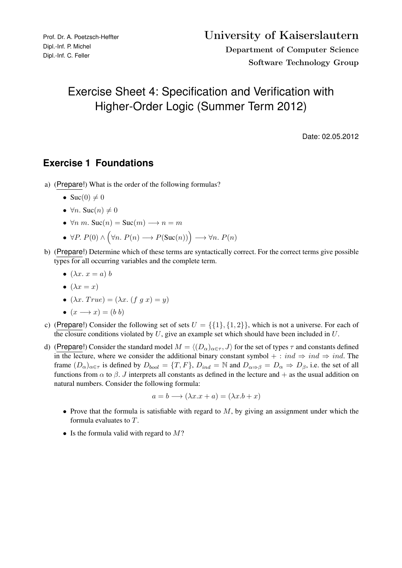## Exercise Sheet 4: Specification and Verification with Higher-Order Logic (Summer Term 2012)

Date: 02.05.2012

## **Exercise 1 Foundations**

a) (Prepare!) What is the order of the following formulas?

• 
$$
Suc(0) \neq 0
$$

- $\forall n.$  Suc $(n) \neq 0$
- $\forall n \ m$ . Suc $(n) =$  Suc $(m) \rightarrow n = m$

• 
$$
\forall P. P(0) \land (\forall n. P(n) \rightarrow P(Suc(n))) \rightarrow \forall n. P(n)
$$

- b) (Prepare!) Determine which of these terms are syntactically correct. For the correct terms give possible types for all occurring variables and the complete term.
	- $(\lambda x. x = a) b$
	- $\bullet$   $(\lambda x = x)$
	- $(\lambda x. True) = (\lambda x. (f g x) = y)$
	- $(x \rightarrow x) = (b \; b)$
- c) (Prepare!) Consider the following set of sets  $U = \{\{1\}, \{1, 2\}\}\$ , which is not a universe. For each of the closure conditions violated by  $U$ , give an example set which should have been included in  $U$ .
- d) (Prepare!) Consider the standard model  $M = \langle (D_{\alpha})_{\alpha \in \tau} , J \rangle$  for the set of types  $\tau$  and constants defined in the lecture, where we consider the additional binary constant symbol + : ind  $\Rightarrow$  ind  $\Rightarrow$  ind. The frame  $(D_{\alpha})_{\alpha \in \tau}$  is defined by  $D_{bool} = \{T, F\}$ ,  $D_{ind} = \mathbb{N}$  and  $D_{\alpha \Rightarrow \beta} = D_{\alpha} \Rightarrow D_{\beta}$ , i.e. the set of all functions from  $\alpha$  to  $\beta$ . J interprets all constants as defined in the lecture and  $+$  as the usual addition on natural numbers. Consider the following formula:

$$
a = b \longrightarrow (\lambda x.x + a) = (\lambda x.b + x)
$$

- Prove that the formula is satisfiable with regard to  $M$ , by giving an assignment under which the formula evaluates to T.
- Is the formula valid with regard to  $M$ ?